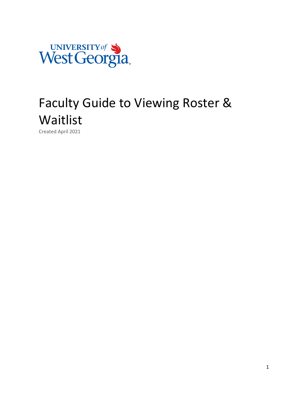

# Faculty Guide to Viewing Roster & Waitlist

Created April 2021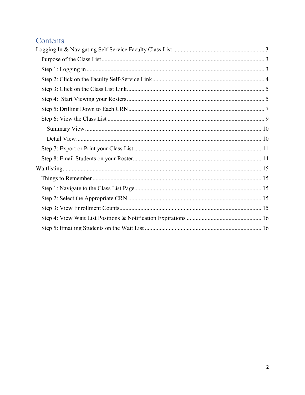# Contents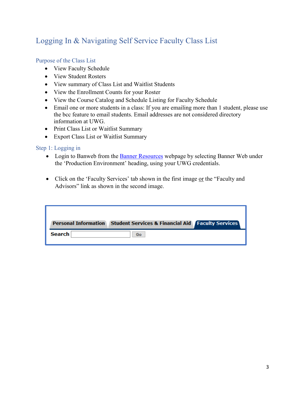# <span id="page-2-0"></span>Logging In & Navigating Self Service Faculty Class List

#### <span id="page-2-1"></span>Purpose of the Class List

- View Faculty Schedule
- View Student Rosters
- View summary of Class List and Waitlist Students
- View the Enrollment Counts for your Roster
- View the Course Catalog and Schedule Listing for Faculty Schedule
- Email one or more students in a class: If you are emailing more than 1 student, please use the bcc feature to email students. Email addresses are not considered directory information at UWG.
- Print Class List or Waitlist Summary
- Export Class List or Waitlist Summary

#### <span id="page-2-2"></span>Step 1: Logging in

- Login to Banweb from the [Banner Resources](https://www.westga.edu/its/banner-resources.php) webpage by selecting Banner Web under the 'Production Environment' heading, using your UWG credentials.
- Click on the 'Faculty Services' tab shown in the first image or the "Faculty and Advisors" link as shown in the second image.

|        | Personal Information Student Services & Financial Aid Faculty Services |  |
|--------|------------------------------------------------------------------------|--|
| Search | Go                                                                     |  |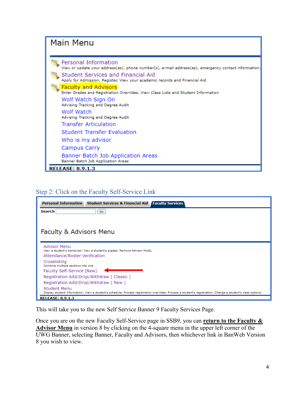#### **Main Menu** Personal Information View or update your address(es), phone number(s), e-mail address(es), emergency contact information, Student Services and Financial Aid Apply for Admission, Register, View your academic records and Financial Aid **Faculty and Advisors** Enter Grades and Registration Overrides, View Class Lists and Student Information Wolf Watch Sign On Advising Tracking and Degree Audit Wolf Watch Advising Tracking and Degree Audit **Transfer Articulation Student Transfer Evaluation** Who is my advisor Campus Carry Banner Batch Job Application Areas Banner Batch Job Application Areas **RELEASE: 8.9.1.3**

#### <span id="page-3-0"></span>Step 2: Click on the Faculty Self-Service Link

| <b>Search</b><br>Go.<br>Faculty & Advisors Menu<br><b>Advisor Menu</b><br>View a student's transcript; View a student's grades; Remove Advisor Holds.<br>Attendance/Roster Verification<br>Crosslisting<br>Combine multiple sections into one<br>Faculty Self-Service (New)<br>Registration Add/Drop/Withdraw (Classic)<br>Registration Add/Drop/Withdraw (New) | <b>Personal Information</b><br><b>Student Services &amp; Financial Aid   Faculty Services</b> |
|-----------------------------------------------------------------------------------------------------------------------------------------------------------------------------------------------------------------------------------------------------------------------------------------------------------------------------------------------------------------|-----------------------------------------------------------------------------------------------|
|                                                                                                                                                                                                                                                                                                                                                                 |                                                                                               |
|                                                                                                                                                                                                                                                                                                                                                                 |                                                                                               |
|                                                                                                                                                                                                                                                                                                                                                                 |                                                                                               |
|                                                                                                                                                                                                                                                                                                                                                                 |                                                                                               |
|                                                                                                                                                                                                                                                                                                                                                                 |                                                                                               |
|                                                                                                                                                                                                                                                                                                                                                                 |                                                                                               |
|                                                                                                                                                                                                                                                                                                                                                                 |                                                                                               |
|                                                                                                                                                                                                                                                                                                                                                                 |                                                                                               |
|                                                                                                                                                                                                                                                                                                                                                                 |                                                                                               |
|                                                                                                                                                                                                                                                                                                                                                                 |                                                                                               |
|                                                                                                                                                                                                                                                                                                                                                                 | Student Menu                                                                                  |
| Display student information; View a student's schedule; Process registration overrides; Process a student's registration; Change a student's class options.<br><b>RELEASE: 8.9.1.3</b>                                                                                                                                                                          |                                                                                               |

This will take you to the new Self Service Banner 9 Faculty Services Page.

Once you are on the new Faculty Self-Service page in SSB9, you can **return to the Faculty & Advisor Menu** in version 8 by clicking on the 4-square menu in the upper left corner of the UWG Banner, selecting Banner, Faculty and Advisors, then whichever link in BanWeb Version 8 you wish to view.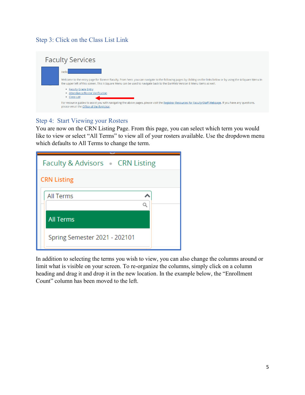## <span id="page-4-0"></span>Step 3: Click on the Class List Link

| <b>Faculty Services</b>                                                                                                                                                                                                                                                                                  |
|----------------------------------------------------------------------------------------------------------------------------------------------------------------------------------------------------------------------------------------------------------------------------------------------------------|
| Hellol<br>Welcome to the entry page for Banner Faculty, From here, you can navigate to the following pages by clicking on the links below or by using the 4-Square Menu in<br>the upper left of this screen. This 4-Square Menu can be used to navigate back to the BanWeb Version 8 Menu items as well. |
| • Faculty Grade Entry<br>• Attendance/Roster Verification<br>• Class List<br>For resource guides to assist you with navigating the above pages, please visit the Registrar Resources for Faculty/Staff Webpage. If you have any questions,<br>please email the Office of the Registrar.                  |

#### <span id="page-4-1"></span>Step 4: Start Viewing your Rosters

You are now on the CRN Listing Page. From this page, you can select which term you would like to view or select "All Terms" to view all of your rosters available. Use the dropdown menu which defaults to All Terms to change the term.

In addition to selecting the terms you wish to view, you can also change the columns around or limit what is visible on your screen. To re-organize the columns, simply click on a column heading and drag it and drop it in the new location. In the example below, the "Enrollment Count" column has been moved to the left.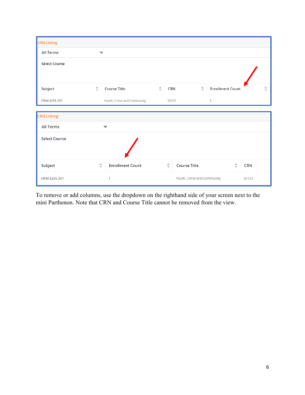| <b>CRN</b> Listing                                             |                     |                            |                                                 |                                            |                     |                                  |                     |
|----------------------------------------------------------------|---------------------|----------------------------|-------------------------------------------------|--------------------------------------------|---------------------|----------------------------------|---------------------|
| <b>All Terms</b>                                               | $\checkmark$        |                            |                                                 |                                            |                     |                                  |                     |
| <b>Select Course</b>                                           |                     |                            |                                                 |                                            |                     |                                  |                     |
| Subject                                                        | $\hat{\mathcal{C}}$ | <b>Course Title</b>        | $\hat{\mathbin{\mathop{\scriptstyle\smile}}\,}$ | <b>CRN</b>                                 | $\hat{\mathcal{C}}$ | <b>Enrollment Count</b>          | $\hat{\mathcal{C}}$ |
| CRIM 4255, E01                                                 |                     | Youth, Crime and Community |                                                 | 50123                                      |                     | $\mathbf{1}$                     |                     |
| <b>CRN Listing</b><br><b>All Terms</b><br><b>Select Course</b> |                     | $\checkmark$               |                                                 |                                            |                     |                                  |                     |
| Subject                                                        | $\hat{\mathcal{C}}$ | <b>Enrollment Count</b>    |                                                 | $\hat{\mathcal{C}}$<br><b>Course Title</b> |                     | $\hat{\mathbb{C}}$<br><b>CRN</b> |                     |
| CRIM 4255, E01                                                 |                     | 1                          |                                                 | Youth, Crime and Community                 |                     | 50123                            |                     |

To remove or add columns, use the dropdown on the righthand side of your screen next to the mini Parthenon. Note that CRN and Course Title cannot be removed from the view.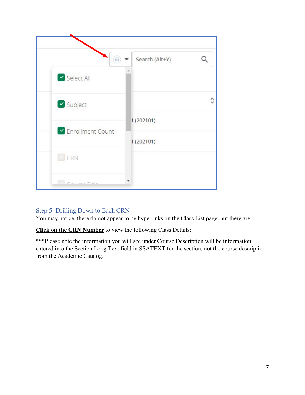

# <span id="page-6-0"></span>Step 5: Drilling Down to Each CRN

You may notice, there do not appear to be hyperlinks on the Class List page, but there are.

**Click on the CRN Number** to view the following Class Details:

\*\*\*Please note the information you will see under Course Description will be information entered into the Section Long Text field in SSATEXT for the section, not the course description from the Academic Catalog.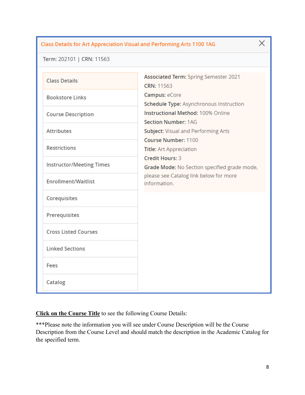#### Class Details for Art Appreciation Visual and Performing Arts 1100 1AG

Term: 202101 | CRN: 11563

| <b>Class Details</b>            | <b>Associated Term: Spring Semester 2021</b><br>CRN: 11563             |
|---------------------------------|------------------------------------------------------------------------|
| <b>Bookstore Links</b>          | Campus: eCore<br>Schedule Type: Asynchronous Instruction               |
| <b>Course Description</b>       | <b>Instructional Method: 100% Online</b><br><b>Section Number: 1AG</b> |
| <b>Attributes</b>               | <b>Subject: Visual and Performing Arts</b><br>Course Number: 1100      |
| <b>Restrictions</b>             | <b>Title:</b> Art Appreciation<br><b>Credit Hours: 3</b>               |
| <b>Instructor/Meeting Times</b> | Grade Mode: No Section specified grade mode,                           |
| <b>Enrollment/Waitlist</b>      | please see Catalog link below for more<br>information.                 |
| Corequisites                    |                                                                        |
| Prerequisites                   |                                                                        |
| <b>Cross Listed Courses</b>     |                                                                        |
| <b>Linked Sections</b>          |                                                                        |
| Fees                            |                                                                        |
| Catalog                         |                                                                        |

**Click on the Course Title** to see the following Course Details:

\*\*\*Please note the information you will see under Course Description will be the Course Description from the Course Level and should match the description in the Academic Catalog for the specified term.

8

 $\times$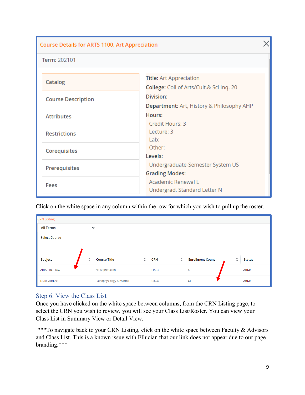| <b>Course Details for ARTS 1100, Art Appreciation</b> |                                                                     |  |  |  |  |  |
|-------------------------------------------------------|---------------------------------------------------------------------|--|--|--|--|--|
| Term: 202101                                          |                                                                     |  |  |  |  |  |
| Catalog                                               | Title: Art Appreciation<br>College: Coll of Arts/Cult.& Sci Inq. 20 |  |  |  |  |  |
| <b>Course Description</b>                             | Division:<br>Department: Art, History & Philosophy AHP              |  |  |  |  |  |
| <b>Attributes</b>                                     | Hours:<br>Credit Hours: 3                                           |  |  |  |  |  |
| <b>Restrictions</b>                                   | Lecture: 3<br>Lab:                                                  |  |  |  |  |  |
| Corequisites                                          | Other:<br>Levels:                                                   |  |  |  |  |  |
| Prerequisites                                         | Undergraduate-Semester System US<br><b>Grading Modes:</b>           |  |  |  |  |  |
| <b>Fees</b>                                           | Academic Renewal L<br>Undergrad. Standard Letter N                  |  |  |  |  |  |

Click on the white space in any column within the row for which you wish to pull up the roster.

| <b>CRN Listing</b>   |                                      |                                  |                                                |                                      |
|----------------------|--------------------------------------|----------------------------------|------------------------------------------------|--------------------------------------|
| <b>All Terms</b>     | $\checkmark$                         |                                  |                                                |                                      |
| <b>Select Course</b> |                                      |                                  |                                                |                                      |
| Subject              | $\hat{\cdot}$<br><b>Course Title</b> | $\hat{\mathbb{C}}$<br><b>CRN</b> | $\hat{\mathcal{L}}$<br><b>Enrollment Count</b> | $\hat{\mathcal{L}}$<br><b>Status</b> |
| ARTS 1100, 1AG       | Art Appreciation                     | 11563                            | $\overline{4}$                                 | Active                               |
| NURS 2101, 91        | Pathophysiology & Pharm I            | 12654                            | 41                                             | Active                               |

#### <span id="page-8-0"></span>Step 6: View the Class List

Once you have clicked on the white space between columns, from the CRN Listing page, to select the CRN you wish to review, you will see your Class List/Roster. You can view your Class List in Summary View or Detail View.

\*\*\*To navigate back to your CRN Listing, click on the white space between Faculty & Advisors and Class List. This is a known issue with Ellucian that our link does not appear due to our page branding.\*\*\*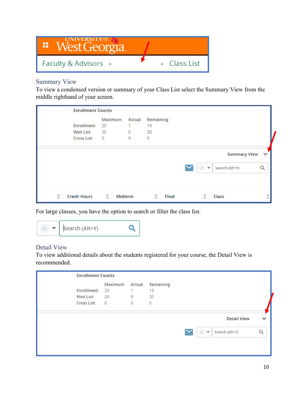

# <span id="page-9-0"></span>Summary View

To view a condensed version or summary of your Class List select the Summary View from the middle righthand of your screen.

|   | <b>Enrollment Counts</b>                   |         |                |                |       |                     |                     |                   |  |  |
|---|--------------------------------------------|---------|----------------|----------------|-------|---------------------|---------------------|-------------------|--|--|
|   |                                            | Maximum | Actual         | Remaining      |       |                     |                     |                   |  |  |
|   | <b>Enrollment</b><br>20                    |         | 1.             | 19             |       |                     |                     |                   |  |  |
|   | <b>Wait List</b><br>20                     |         | $\overline{0}$ | 20             |       |                     |                     |                   |  |  |
|   | <b>Cross List</b><br>$\overline{0}$        |         | $\overline{0}$ | $\overline{0}$ |       |                     |                     |                   |  |  |
|   |                                            |         |                |                |       |                     |                     |                   |  |  |
|   |                                            |         |                |                |       |                     | <b>Summary View</b> | $\checkmark$      |  |  |
|   |                                            |         |                |                |       | $\circled{1}$       | Search (Alt+Y)      | Q                 |  |  |
|   |                                            |         |                |                |       |                     |                     |                   |  |  |
|   |                                            |         |                |                |       |                     |                     |                   |  |  |
| ≎ | $\hat{\mathcal{L}}$<br><b>Credit Hours</b> | Midterm |                | $\hat{\cdot}$  | Final | $\hat{\mathcal{C}}$ | <b>Class</b>        | ∧<br>$\checkmark$ |  |  |

For large classes, you have the option to search or filter the class list.



#### <span id="page-9-1"></span>Detail View

To view additional details about the students registered for your course, the Detail View is recommended.

| <b>Enrollment Counts</b> |                |             |           |  |               |                    |              |
|--------------------------|----------------|-------------|-----------|--|---------------|--------------------|--------------|
|                          | Maximum Actual |             | Remaining |  |               |                    |              |
| Enrollment               | 20             |             | 19        |  |               |                    |              |
| Wait List                | 20             | $\mathbf 0$ | 20        |  |               |                    |              |
| Cross List               | $\overline{0}$ | 0           | 0         |  |               |                    |              |
|                          |                |             |           |  |               |                    |              |
|                          |                |             |           |  |               | <b>Detail View</b> | $\checkmark$ |
|                          |                |             |           |  | $\circled{m}$ | Search (Alt+Y)     | Q            |
|                          |                |             |           |  |               |                    |              |
|                          |                |             |           |  |               |                    |              |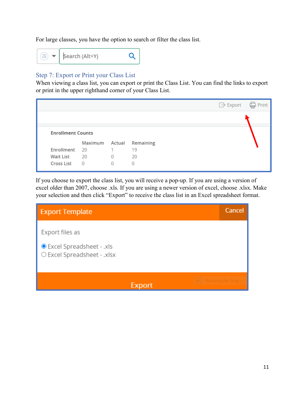For large classes, you have the option to search or filter the class list.



# <span id="page-10-0"></span>Step 7: Export or Print your Class List

When viewing a class list, you can export or print the Class List. You can find the links to export or print in the upper righthand corner of your Class List.

|                          |                |                |                  | Ċ<br>$\Box$ > Export | Print |
|--------------------------|----------------|----------------|------------------|----------------------|-------|
|                          |                |                |                  |                      |       |
| <b>Enrollment Counts</b> |                |                |                  |                      |       |
|                          | Maximum Actual |                | <b>Remaining</b> |                      |       |
| Enrollment               | 20             | 1              | 19               |                      |       |
| <b>Wait List</b>         | 20             | $\mathbf 0$    | 20               |                      |       |
| <b>Cross List</b>        | $\Omega$       | $\overline{0}$ | 0                |                      |       |

If you choose to export the class list, you will receive a pop-up. If you are using a version of excel older than 2007, choose .xls. If you are using a newer version of excel, choose .xlsx. Make your selection and then click "Export" to receive the class list in an Excel spreadsheet format.

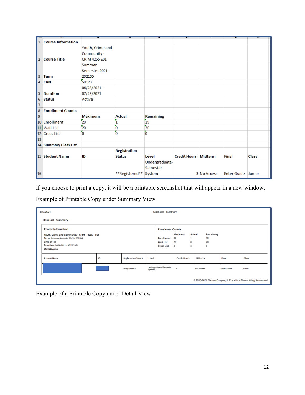| 11.              | <b>Course Information</b> |                      |                     |                  |                             |             |                           |              |
|------------------|---------------------------|----------------------|---------------------|------------------|-----------------------------|-------------|---------------------------|--------------|
|                  |                           | Youth, Crime and     |                     |                  |                             |             |                           |              |
|                  |                           | Community -          |                     |                  |                             |             |                           |              |
| 2                | <b>Course Title</b>       | <b>CRIM 4255 E01</b> |                     |                  |                             |             |                           |              |
|                  |                           | Summer               |                     |                  |                             |             |                           |              |
|                  |                           | Semester 2021 -      |                     |                  |                             |             |                           |              |
| 3                |                           | 202105               |                     |                  |                             |             |                           |              |
|                  | <b>Term</b>               |                      |                     |                  |                             |             |                           |              |
| $\overline{4}$   | <b>CRN</b>                | 50123                |                     |                  |                             |             |                           |              |
|                  |                           | 06/28/2021-          |                     |                  |                             |             |                           |              |
| 5                | <b>Duration</b>           | 07/23/2021           |                     |                  |                             |             |                           |              |
| $\boldsymbol{6}$ | <b>Status</b>             | Active               |                     |                  |                             |             |                           |              |
| $\overline{7}$   |                           |                      |                     |                  |                             |             |                           |              |
| 8                | <b>Enrollment Counts</b>  |                      |                     |                  |                             |             |                           |              |
| و                |                           | <b>Maximum</b>       | <b>Actual</b>       | <b>Remaining</b> |                             |             |                           |              |
|                  | 10 Enrollment             | 20                   | 1                   | 19               |                             |             |                           |              |
| 11               | <b>Wait List</b>          | 20                   | 0                   | 20               |                             |             |                           |              |
|                  | 12 Cross List             | O                    | 'n                  | ō                |                             |             |                           |              |
| 13               |                           |                      |                     |                  |                             |             |                           |              |
|                  | 14 Summary Class List     |                      |                     |                  |                             |             |                           |              |
|                  |                           |                      | <b>Registration</b> |                  |                             |             |                           |              |
|                  | 15 Student Name           | ID                   | <b>Status</b>       | Level            | <b>Credit Hours Midterm</b> |             | <b>Final</b>              | <b>Class</b> |
|                  |                           |                      |                     | Undergraduate-   |                             |             |                           |              |
|                  |                           |                      |                     | Semester         |                             |             |                           |              |
| 16               |                           |                      | **Registered**      | System           |                             | 3 No Access | <b>Enter Grade Junior</b> |              |
|                  |                           |                      |                     |                  |                             |             |                           |              |

If you choose to print a copy, it will be a printable screenshot that will appear in a new window.

Example of Printable Copy under Summary View.

|                                                                            | 4/13/2021                                  | Class List - Summary     |               |        |                               |              |                     |           |           |                    |        |
|----------------------------------------------------------------------------|--------------------------------------------|--------------------------|---------------|--------|-------------------------------|--------------|---------------------|-----------|-----------|--------------------|--------|
|                                                                            | <b>Class List - Summary</b>                |                          |               |        |                               |              |                     |           |           |                    |        |
|                                                                            | <b>Course Information</b>                  | <b>Enrollment Counts</b> |               |        |                               |              |                     |           |           |                    |        |
|                                                                            | Youth, Crime and Community - CRIM 4255 E01 |                          |               |        |                               | Maximum      |                     | Actual    | Remaining |                    |        |
|                                                                            | Term: Summer Semester 2021 - 202105        |                          |               |        | <b>Enrollment</b>             | 20           | ٠                   | 19        |           |                    |        |
|                                                                            | <b>CRN: 50123</b>                          |                          |               |        | <b>Wait List</b>              | 20           | $\circ$             |           |           |                    |        |
|                                                                            | Duration: 06/28/2021 - 07/23/2021          |                          |               |        | <b>Cross List</b>             | $\Omega$     | $\mathbf 0$         | $\bf{0}$  |           |                    |        |
|                                                                            | <b>Status: Active</b>                      |                          |               |        |                               |              |                     |           |           |                    |        |
|                                                                            | <b>Student Name</b>                        | ID                       |               |        | Level                         |              | <b>Credit Hours</b> |           |           | Final              | Class  |
|                                                                            |                                            |                          | "Registered"* | System | <b>Undergraduate-Semester</b> | $\mathbf{3}$ |                     | No Access |           | <b>Enter Grade</b> | Junior |
| @ 2013-2021 Ellucian Company L.P. and its affiliates. All rights reserved. |                                            |                          |               |        |                               |              |                     |           |           |                    |        |

Example of a Printable Copy under Detail View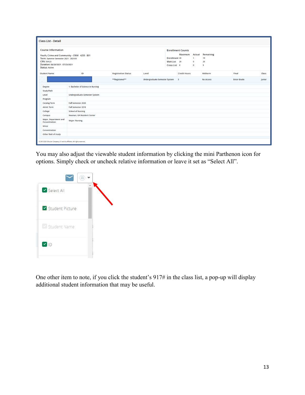| <b>Course Information</b>                                                                                                                                     |                                   |                                                                        |                                                           | <b>Enrollment Counts</b>           |  |                  |                    |        |
|---------------------------------------------------------------------------------------------------------------------------------------------------------------|-----------------------------------|------------------------------------------------------------------------|-----------------------------------------------------------|------------------------------------|--|------------------|--------------------|--------|
| Youth, Crime and Community - CRIM 4255 E01<br>Term: Summer Semester 2021 - 202105<br>CRN: 50123<br>Duration: 06/28/2021 - 07/23/2021<br><b>Status: Active</b> |                                   | <b>Maximum</b><br><b>Enrollment 20</b><br>Wait List 20<br>Cross List 0 | <b>Actual</b><br>$\mathbf{1}$<br>$\bf{0}$<br>$\mathbf{0}$ | Remaining<br>19<br>20<br>$\bullet$ |  |                  |                    |        |
| <b>Student Name</b>                                                                                                                                           | ID                                | <b>Registration Status</b>                                             | Level                                                     | <b>Credit Hours</b>                |  | Midterm          | Final              | Class  |
|                                                                                                                                                               |                                   | **Registered**                                                         | Undergraduate-Semester System 3                           |                                    |  | <b>No Access</b> | <b>Enter Grade</b> | Junior |
| <b>Degree</b>                                                                                                                                                 | 1- Bachelor of Science in Nursing |                                                                        |                                                           |                                    |  |                  |                    |        |
| <b>Study Path</b>                                                                                                                                             |                                   |                                                                        |                                                           |                                    |  |                  |                    |        |
| Level                                                                                                                                                         | Undergraduate-Semester System     |                                                                        |                                                           |                                    |  |                  |                    |        |
| Program                                                                                                                                                       |                                   |                                                                        |                                                           |                                    |  |                  |                    |        |
| <b>Catalog Term</b>                                                                                                                                           | <b>Fall Semester 2020</b>         |                                                                        |                                                           |                                    |  |                  |                    |        |
| <b>Admit Term</b>                                                                                                                                             | <b>Fall Semester 2018</b>         |                                                                        |                                                           |                                    |  |                  |                    |        |
| College                                                                                                                                                       | <b>School of Nursing</b>          |                                                                        |                                                           |                                    |  |                  |                    |        |
| Campus                                                                                                                                                        | Newnan, GA Resident Center        |                                                                        |                                                           |                                    |  |                  |                    |        |
| Major, Department and<br>Concentration                                                                                                                        | <b>Major: Nursing</b>             |                                                                        |                                                           |                                    |  |                  |                    |        |
| Minor                                                                                                                                                         |                                   |                                                                        |                                                           |                                    |  |                  |                    |        |
| Concentration                                                                                                                                                 |                                   |                                                                        |                                                           |                                    |  |                  |                    |        |
| Other field of study                                                                                                                                          |                                   |                                                                        |                                                           |                                    |  |                  |                    |        |

You may also adjust the viewable student information by clicking the mini Parthenon icon for options. Simply check or uncheck relative information or leave it set as "Select All".



One other item to note, if you click the student's 917# in the class list, a pop-up will display additional student information that may be useful.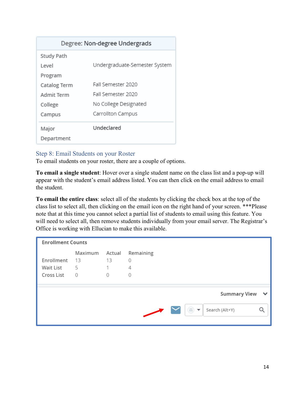| Degree: Non-degree Undergrads |                               |  |  |  |  |  |  |  |  |  |
|-------------------------------|-------------------------------|--|--|--|--|--|--|--|--|--|
| <b>Study Path</b>             |                               |  |  |  |  |  |  |  |  |  |
| Level                         | Undergraduate-Semester System |  |  |  |  |  |  |  |  |  |
| Program                       |                               |  |  |  |  |  |  |  |  |  |
| Catalog Term                  | Fall Semester 2020            |  |  |  |  |  |  |  |  |  |
| Admit Term                    | Fall Semester 2020            |  |  |  |  |  |  |  |  |  |
| College                       | No College Designated         |  |  |  |  |  |  |  |  |  |
| Campus                        | Carrollton Campus             |  |  |  |  |  |  |  |  |  |
| Major                         | Undeclared                    |  |  |  |  |  |  |  |  |  |
| Department                    |                               |  |  |  |  |  |  |  |  |  |

#### <span id="page-13-0"></span>Step 8: Email Students on your Roster

To email students on your roster, there are a couple of options.

**To email a single student**: Hover over a single student name on the class list and a pop-up will appear with the student's email address listed. You can then click on the email address to email the student.

**To email the entire class**: select all of the students by clicking the check box at the top of the class list to select all, then clicking on the email icon on the right hand of your screen. \*\*\*Please note that at this time you cannot select a partial list of students to email using this feature. You will need to select all, then remove students individually from your email server. The Registrar's Office is working with Ellucian to make this available.

| <b>Enrollment Counts</b>              |                                 |         |                                                                        |              |
|---------------------------------------|---------------------------------|---------|------------------------------------------------------------------------|--------------|
| Enrollment<br>Wait List<br>Cross List | Maximum Actual<br>-13<br>5<br>0 | 13<br>0 | Remaining<br>0<br>4<br>0                                               |              |
|                                       |                                 |         | <b>Summary View</b><br>$\overline{m}$ $\overline{m}$<br>Search (Alt+Y) | $\checkmark$ |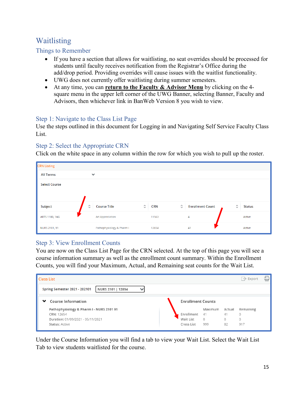# <span id="page-14-0"></span>Waitlisting

# <span id="page-14-1"></span>Things to Remember

- If you have a section that allows for waitlisting, no seat overrides should be processed for students until faculty receives notification from the Registrar's Office during the add/drop period. Providing overrides will cause issues with the waitlist functionality.
- UWG does not currently offer waitlisting during summer semesters.
- At any time, you can **return to the Faculty & Advisor Menu** by clicking on the 4 square menu in the upper left corner of the UWG Banner, selecting Banner, Faculty and Advisors, then whichever link in BanWeb Version 8 you wish to view.

# <span id="page-14-2"></span>Step 1: Navigate to the Class List Page

Use the steps outlined in this document for Logging in and Navigating Self Service Faculty Class List.

#### <span id="page-14-3"></span>Step 2: Select the Appropriate CRN

Click on the white space in any column within the row for which you wish to pull up the roster.

| <b>CRN Listing</b>             |                                            |                                   |                                                |               |
|--------------------------------|--------------------------------------------|-----------------------------------|------------------------------------------------|---------------|
| <b>All Terms</b>               | $\checkmark$                               |                                   |                                                |               |
| <b>Select Course</b>           |                                            |                                   |                                                |               |
| $\hat{\mathcal{C}}$<br>Subject | $\hat{\mathcal{C}}$<br><b>Course Title</b> | $\hat{\mathcal{L}}$<br><b>CRN</b> | $\hat{\mathcal{C}}$<br><b>Enrollment Count</b> | <b>Status</b> |
| ARTS 1100, 1AG                 | <b>Art Appreciation</b>                    | 11563                             | $\overline{4}$                                 | Active        |
| NURS 2101, 91                  | Pathophysiology & Pharm I                  | 12654                             | 41                                             | Active        |

# <span id="page-14-4"></span>Step 3: View Enrollment Counts

You are now on the Class List Page for the CRN selected. At the top of this page you will see a course information summary as well as the enrollment count summary. Within the Enrollment Counts, you will find your Maximum, Actual, and Remaining seat counts for the Wait List.

| <b>Class List</b>                                              | ⋴<br>$\rightarrow$ Export             |
|----------------------------------------------------------------|---------------------------------------|
| <b>Spring Semester 2021 - 202101</b><br>NURS 2101   12654<br>v |                                       |
| <b>Course Information</b><br>❤                                 | <b>Enrollment Counts</b>              |
| Pathophysiology & Pharm I - NURS 2101 91                       | Maximum<br>Actual<br>Remaining        |
| CRN: 12654                                                     | Enrollment<br>41<br>41<br>$\circ$     |
| Duration: 01/09/2021 - 05/11/2021                              | Wait List<br>$\circ$<br>0<br>$\Omega$ |
| <b>Status: Active</b>                                          | 999<br>Cross List<br>82<br>917        |

Under the Course Information you will find a tab to view your Wait List. Select the Wait List Tab to view students waitlisted for the course.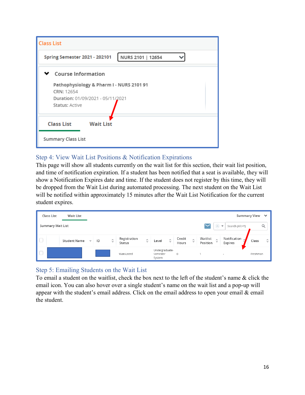

# <span id="page-15-0"></span>Step 4: View Wait List Positions & Notification Expirations

This page will show all students currently on the wait list for this section, their wait list position, and time of notification expiration. If a student has been notified that a seat is available, they will show a Notification Expires date and time. If the student does not register by this time, they will be dropped from the Wait List during automated processing. The next student on the Wait List will be notified within approximately 15 minutes after the Wait List Notification for the current student expires.

|                                                                                      | <b>Class List</b> | <b>Wait List</b>                    |    |                     |                        |                                     |                                      |                 |                                     |                                                               |                                   | Summary View $\vee$    |
|--------------------------------------------------------------------------------------|-------------------|-------------------------------------|----|---------------------|------------------------|-------------------------------------|--------------------------------------|-----------------|-------------------------------------|---------------------------------------------------------------|-----------------------------------|------------------------|
| $\bigcirc$<br><b>Summary Wait List</b><br>Search (Alt+Y)<br>$\overline{\phantom{0}}$ |                   |                                     |    |                     |                        |                                     |                                      |                 |                                     |                                                               |                                   |                        |
|                                                                                      |                   | <b>Student Name</b><br>$\checkmark$ | ID | $\hat{\mathcal{S}}$ | Registration<br>Status | $\hat{\phantom{a}}$<br>$\checkmark$ | $\hat{\mathcal{L}}$<br>Level         | Credit<br>Hours | $\hat{\phantom{a}}$<br>$\checkmark$ | Waitlist<br>$\boldsymbol{\wedge}$<br>$\checkmark$<br>Position | Notification<br>$\sim$<br>Expires | $\hat{\cdot}$<br>Class |
| $\blacksquare$                                                                       |                   |                                     |    |                     | Wait-Listed            |                                     | Undergraduate-<br>Semester<br>System | $\circ$         |                                     |                                                               | $\overline{\phantom{a}}$          | Freshman               |

# <span id="page-15-1"></span>Step 5: Emailing Students on the Wait List

To email a student on the waitlist, check the box next to the left of the student's name & click the email icon. You can also hover over a single student's name on the wait list and a pop-up will appear with the student's email address. Click on the email address to open your email & email the student.